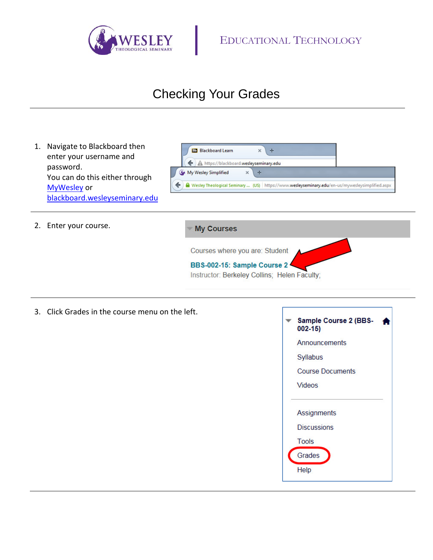

## Checking Your Grades



3. Click Grades in the course menu on the left.

| Sample Course 2 (BBS-<br>$002 - 15$ |
|-------------------------------------|
| Announcements                       |
| Syllabus                            |
| <b>Course Documents</b>             |
| <b>Videos</b>                       |
|                                     |
| <b>Assignments</b>                  |
| <b>Discussions</b>                  |
| <b>Tools</b>                        |
| Grades                              |
| Help                                |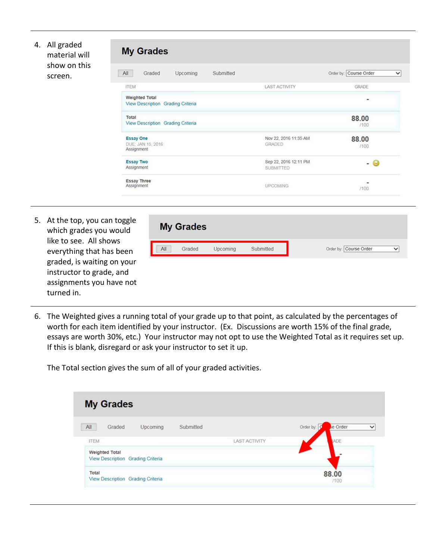| 4. | All graded<br>material will | <b>My Grades</b>                                           |                                           |                                        |
|----|-----------------------------|------------------------------------------------------------|-------------------------------------------|----------------------------------------|
|    | show on this<br>screen.     | All<br>Graded<br>Upcoming<br>Submitted                     |                                           | Order by: Course Order<br>$\checkmark$ |
|    |                             | <b>ITEM</b>                                                | <b>LAST ACTIVITY</b>                      | GRADE                                  |
|    |                             | <b>Weighted Total</b><br>View Description Grading Criteria |                                           | $\qquad \qquad \blacksquare$           |
|    |                             | Total<br>View Description Grading Criteria                 |                                           | 88.00<br>/100                          |
|    |                             | <b>Essay One</b><br>DUE: JAN 15, 2016<br>Assignment        | Nov 22, 2016 11:35 AM<br><b>GRADED</b>    | 88.00<br>1100                          |
|    |                             | <b>Essay Two</b><br>Assignment                             | Sep 22, 2016 12:11 PM<br><b>SUBMITTED</b> | - 0                                    |
|    |                             | <b>Essay Three</b><br>Assignment                           | <b>UPCOMING</b>                           | ٠<br>/100                              |

5. At the top, you can toggle which grades you would like to see. All shows everything that has been graded, is waiting on your instructor to grade, and assignments you have not turned in.

| All<br>Graded |  | Upcoming | Submitted | Order by: Course Order | $\checkmark$ |
|---------------|--|----------|-----------|------------------------|--------------|
|---------------|--|----------|-----------|------------------------|--------------|

6. The Weighted gives a running total of your grade up to that point, as calculated by the percentages of worth for each item identified by your instructor. (Ex. Discussions are worth 15% of the final grade, essays are worth 30%, etc.) Your instructor may not opt to use the Weighted Total as it requires set up. If this is blank, disregard or ask your instructor to set it up.

The Total section gives the sum of all of your graded activities.

| <b>My Grades</b>                                           |                      |                                       |
|------------------------------------------------------------|----------------------|---------------------------------------|
| All<br>Submitted<br>Graded<br><b>Upcoming</b>              |                      | se Order<br>Order by:<br>$\checkmark$ |
| <b>ITEM</b>                                                | <b>LAST ACTIVITY</b> | <b>RADE</b>                           |
| <b>Weighted Total</b><br>View Description Grading Criteria |                      |                                       |
| Total<br>View Description Grading Criteria                 |                      | 88.00<br>1100                         |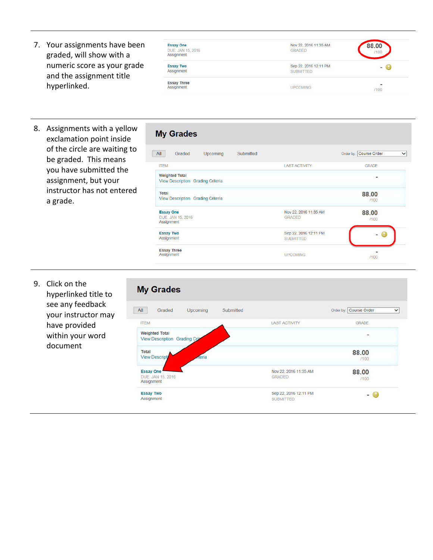7. Your assignments have been graded, will show with a numeric score as your grade and the assignment title hyperlinked.

| <b>Essay One</b><br>DUE: JAN 15, 2016<br>Assignment | Nov 22, 2016 11:35 AM<br><b>GRADED</b>    | 88.00<br>/100                            |
|-----------------------------------------------------|-------------------------------------------|------------------------------------------|
| <b>Essay Two</b><br>Assignment                      | Sep 22, 2016 12:11 PM<br><b>SUBMITTED</b> | - 69                                     |
| <b>Essay Three</b><br>Assignment                    | <b>UPCOMING</b>                           | $\overline{a}$<br>/100<br><b>SERVICE</b> |

8. Assignments with a yellow exclamation point inside of the circle are waiting to be graded. This means you have submitted the assignment, but your instructor has not entered a grade.

| <b>My Grades</b>                                                  |           |                                           |                                        |
|-------------------------------------------------------------------|-----------|-------------------------------------------|----------------------------------------|
| All<br>Upcoming<br>Graded                                         | Submitted |                                           | Order by: Course Order<br>$\checkmark$ |
| <b>ITEM</b>                                                       |           | <b>LAST ACTIVITY</b>                      | <b>GRADE</b>                           |
| <b>Weighted Total</b><br><b>View Description Grading Criteria</b> |           |                                           |                                        |
| <b>Total</b><br>View Description Grading Criteria                 |           |                                           | 88.00<br>/100                          |
| <b>Essay One</b><br>DUE: JAN 15, 2016<br>Assignment               |           | Nov 22, 2016 11:35 AM<br><b>GRADED</b>    | 88.00<br>/100                          |
| <b>Essay Two</b><br>Assignment                                    |           | Sep 22, 2016 12:11 PM<br><b>SUBMITTED</b> |                                        |
| <b>Essay Three</b><br>Assignment                                  |           | <b>UPCOMING</b>                           | /100                                   |
|                                                                   |           |                                           |                                        |

9. Click on the hyperlinked title to see any feedback your instructor may have provided within your word document

## **My Grades**